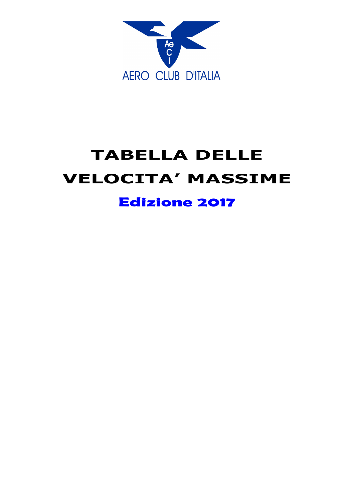

## **TABELLA DELLE VELOCITA' MASSIME**

## **Edizione 2017**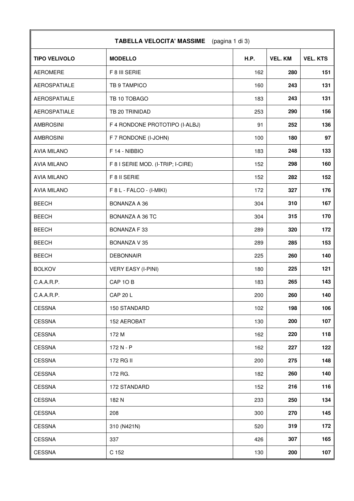## **TABELLA VELOCITA' MASSIME** (pagina 1 di 3)

| <b>TABELLA VELOCITA' MASSIME</b><br>(pagina 1 di 3) |                                   |             |                |                 |
|-----------------------------------------------------|-----------------------------------|-------------|----------------|-----------------|
| <b>TIPO VELIVOLO</b>                                | <b>MODELLO</b>                    | <b>H.P.</b> | <b>VEL. KM</b> | <b>VEL. KTS</b> |
| <b>AEROMERE</b>                                     | F 8 III SERIE                     | 162         | 280            | 151             |
| <b>AEROSPATIALE</b>                                 | TB 9 TAMPICO                      | 160         | 243            | 131             |
| <b>AEROSPATIALE</b>                                 | TB 10 TOBAGO                      | 183         | 243            | 131             |
| <b>AEROSPATIALE</b>                                 | TB 20 TRINIDAD                    | 253         | 290            | 156             |
| <b>AMBROSINI</b>                                    | F 4 RONDONE PROTOTIPO (I-ALBJ)    | 91          | 252            | 136             |
| <b>AMBROSINI</b>                                    | F 7 RONDONE (I-JOHN)              | 100         | 180            | 97              |
| <b>AVIA MILANO</b>                                  | F 14 - NIBBIO                     | 183         | 248            | 133             |
| <b>AVIA MILANO</b>                                  | F 8 I SERIE MOD. (I-TRIP; I-CIRE) | 152         | 298            | 160             |
| <b>AVIA MILANO</b>                                  | F 8 II SERIE                      | 152         | 282            | 152             |
| <b>AVIA MILANO</b>                                  | F 8 L - FALCO - (I-MIKI)          | 172         | 327            | 176             |
| <b>BEECH</b>                                        | <b>BONANZA A 36</b>               | 304         | 310            | 167             |
| <b>BEECH</b>                                        | BONANZA A 36 TC                   | 304         | 315            | 170             |
| <b>BEECH</b>                                        | <b>BONANZA F33</b>                | 289         | 320            | 172             |
| <b>BEECH</b>                                        | BONANZA V 35                      | 289         | 285            | 153             |
| <b>BEECH</b>                                        | <b>DEBONNAIR</b>                  | 225         | 260            | 140             |
| <b>BOLKOV</b>                                       | <b>VERY EASY (I-PINI)</b>         | 180         | 225            | 121             |
| C.A.A.R.P.                                          | CAP 1OB                           | 183         | 265            | 143             |
| C.A.A.R.P.                                          | <b>CAP 20 L</b>                   | 200         | 260            | 140             |
| <b>CESSNA</b>                                       | 150 STANDARD                      | 102         | 198            | 106             |
| <b>CESSNA</b>                                       | 152 AEROBAT                       | 130         | 200            | 107             |
| <b>CESSNA</b>                                       | 172 M                             | 162         | 220            | 118             |
| <b>CESSNA</b>                                       | 172 N - P                         | 162         | 227            | 122             |
| <b>CESSNA</b>                                       | 172 RG II                         | 200         | 275            | 148             |
| <b>CESSNA</b>                                       | 172 RG.                           | 182         | 260            | 140             |
| <b>CESSNA</b>                                       | 172 STANDARD                      | 152         | 216            | 116             |
| <b>CESSNA</b>                                       | 182 N                             | 233         | 250            | 134             |
| <b>CESSNA</b>                                       | 208                               | 300         | 270            | 145             |
| <b>CESSNA</b>                                       | 310 (N421N)                       | 520         | 319            | 172             |
| <b>CESSNA</b>                                       | 337                               | 426         | 307            | 165             |
| <b>CESSNA</b>                                       | C 152                             | 130         | 200            | 107             |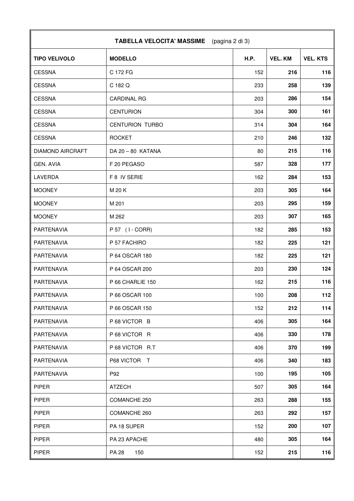| <b>TABELLA VELOCITA' MASSIME</b> (pagina 2 di 3) |  |  |
|--------------------------------------------------|--|--|
|                                                  |  |  |

| <b>TIPO VELIVOLO</b>    | <b>MODELLO</b>         | <b>H.P.</b> | <b>VEL. KM</b> | <b>VEL. KTS</b> |
|-------------------------|------------------------|-------------|----------------|-----------------|
| <b>CESSNA</b>           | C 172 FG               | 152         | 216            | 116             |
| <b>CESSNA</b>           | C 182 Q                | 233         | 258            | 139             |
| <b>CESSNA</b>           | <b>CARDINAL RG</b>     | 203         | 286            | 154             |
| <b>CESSNA</b>           | <b>CENTURION</b>       | 304         | 300            | 161             |
| <b>CESSNA</b>           | <b>CENTURION TURBO</b> | 314         | 304            | 164             |
| <b>CESSNA</b>           | <b>ROCKET</b>          | 210         | 246            | 132             |
| <b>DIAMOND AIRCRAFT</b> | DA 20 - 80 KATANA      | 80          | 215            | 116             |
| <b>GEN. AVIA</b>        | F 20 PEGASO            | 587         | 328            | 177             |
| LAVERDA                 | F 8 IV SERIE           | 162         | 284            | 153             |
| <b>MOONEY</b>           | M 20 K                 | 203         | 305            | 164             |
| <b>MOONEY</b>           | M 201                  | 203         | 295            | 159             |
| <b>MOONEY</b>           | M 262                  | 203         | 307            | 165             |
| PARTENAVIA              | P 57 (1 - CORR)        | 182         | 285            | 153             |
| PARTENAVIA              | P 57 FACHIRO           | 182         | 225            | 121             |
| PARTENAVIA              | P 64 OSCAR 180         | 182         | 225            | 121             |
| PARTENAVIA              | P 64 OSCAR 200         | 203         | 230            | 124             |
| PARTENAVIA              | P 66 CHARLIE 150       | 162         | 215            | 116             |
| PARTENAVIA              | P 66 OSCAR 100         | 100         | 208            | 112             |
| PARTENAVIA              | P 66 OSCAR 150         | 152         | 212            | 114             |
| PARTENAVIA              | P 68 VICTOR B          | 406         | 305            | 164             |
| PARTENAVIA              | P 68 VICTOR R          | 406         | 330            | 178             |
| PARTENAVIA              | P 68 VICTOR R.T        | 406         | 370            | 199             |
| PARTENAVIA              | P68 VICTOR T           | 406         | 340            | 183             |
| PARTENAVIA              | P92                    | 100         | 195            | 105             |
| <b>PIPER</b>            | <b>ATZECH</b>          | 507         | 305            | 164             |
| <b>PIPER</b>            | COMANCHE 250           | 263         | 288            | 155             |
| <b>PIPER</b>            | COMANCHE 260           | 263         | 292            | 157             |
| <b>PIPER</b>            | PA 18 SUPER            | 152         | 200            | 107             |
| <b>PIPER</b>            | PA 23 APACHE           | 480         | 305            | 164             |
| <b>PIPER</b>            | <b>PA 28</b><br>150    | 152         | 215            | 116             |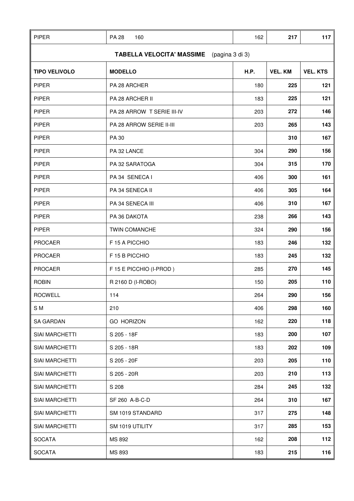| <b>PIPER</b>                                     | <b>PA 28</b><br>160        | 162         | 217            | 117             |
|--------------------------------------------------|----------------------------|-------------|----------------|-----------------|
| <b>TABELLA VELOCITA' MASSIME</b> (pagina 3 di 3) |                            |             |                |                 |
| <b>TIPO VELIVOLO</b>                             | <b>MODELLO</b>             | <b>H.P.</b> | <b>VEL. KM</b> | <b>VEL. KTS</b> |
| <b>PIPER</b>                                     | PA 28 ARCHER               | 180         | 225            | 121             |
| <b>PIPER</b>                                     | PA 28 ARCHER II            | 183         | 225            | 121             |
| <b>PIPER</b>                                     | PA 28 ARROW T SERIE III-IV | 203         | 272            | 146             |
| <b>PIPER</b>                                     | PA 28 ARROW SERIE II-III   | 203         | 265            | 143             |
| <b>PIPER</b>                                     | PA 30                      |             | 310            | 167             |
| <b>PIPER</b>                                     | PA 32 LANCE                | 304         | 290            | 156             |
| <b>PIPER</b>                                     | PA 32 SARATOGA             | 304         | 315            | 170             |
| <b>PIPER</b>                                     | PA 34 SENECA I             | 406         | 300            | 161             |
| <b>PIPER</b>                                     | PA 34 SENECA II            | 406         | 305            | 164             |
| <b>PIPER</b>                                     | PA 34 SENECA III           | 406         | 310            | 167             |
| <b>PIPER</b>                                     | PA 36 DAKOTA               | 238         | 266            | 143             |
| <b>PIPER</b>                                     | <b>TWIN COMANCHE</b>       | 324         | 290            | 156             |
| <b>PROCAER</b>                                   | F 15 A PICCHIO             | 183         | 246            | 132             |
| <b>PROCAER</b>                                   | F 15 B PICCHIO             | 183         | 245            | 132             |
| <b>PROCAER</b>                                   | F 15 E PICCHIO (I-PROD)    | 285         | 270            | 145             |
| <b>ROBIN</b>                                     | R 2160 D (I-ROBO)          | 150         | 205            | 110             |
| <b>ROCWELL</b>                                   | 114                        | 264         | 290            | 156             |
| S M                                              | 210                        | 406         | 298            | 160             |
| SA GARDAN                                        | <b>GO HORIZON</b>          | 162         | 220            | 118             |
| SIAI MARCHETTI                                   | S 205 - 18F                | 183         | 200            | 107             |
| SIAI MARCHETTI                                   | S 205 - 18R                | 183         | 202            | 109             |
| SIAI MARCHETTI                                   | S 205 - 20F                | 203         | 205            | 110             |
| SIAI MARCHETTI                                   | S 205 - 20R                | 203         | 210            | 113             |
| SIAI MARCHETTI                                   | S 208                      | 284         | 245            | 132             |
| SIAI MARCHETTI                                   | SF 260 A-B-C-D             | 264         | 310            | 167             |
| SIAI MARCHETTI                                   | SM 1019 STANDARD           | 317         | 275            | 148             |
| SIAI MARCHETTI                                   | SM 1019 UTILITY            | 317         | 285            | 153             |
| <b>SOCATA</b>                                    | MS 892                     | 162         | 208            | 112             |
| <b>SOCATA</b>                                    | MS 893                     | 183         | 215            | 116             |